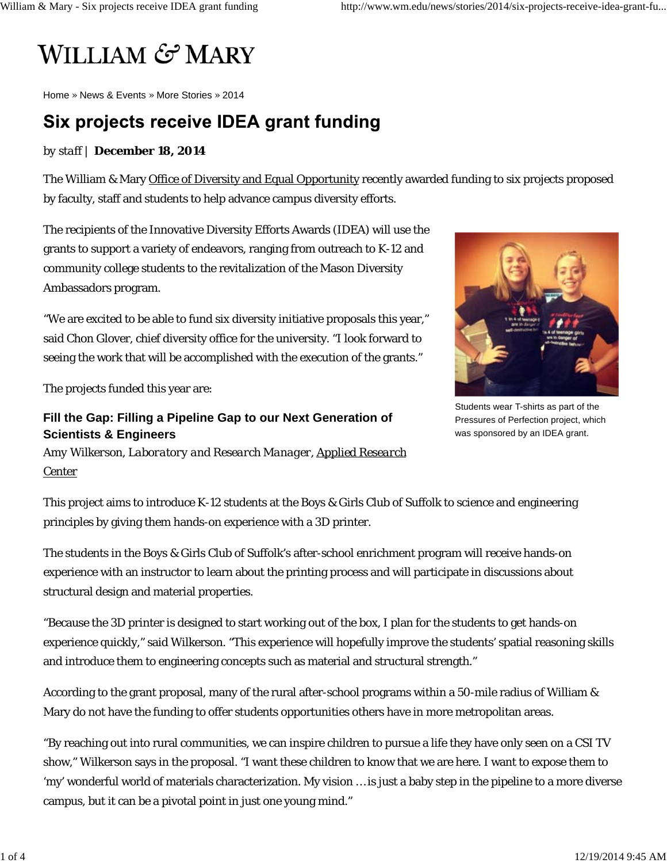# **WILLIAM & MARY**

Home » News & Events » More Stories » 2014

# Six projects receive IDEA grant funding

#### *by staff* | **December 18, 2014**

The William & Mary Office of Diversity and Equal Opportunity recently awarded funding to six projects proposed by faculty, staff and students to help advance campus diversity efforts.

The recipients of the Innovative Diversity Efforts Awards (IDEA) will use the grants to support a variety of endeavors, ranging from outreach to K-12 and community college students to the revitalization of the Mason Diversity Ambassadors program.

"We are excited to be able to fund six diversity initiative proposals this year," said Chon Glover, chief diversity office for the university. "I look forward to seeing the work that will be accomplished with the execution of the grants."

The projects funded this year are:

### **Fill the Gap: Filling a Pipeline Gap to our Next Generation of Scientists & Engineers**

*Amy Wilkerson, Laboratory and Research Manager, Applied Research Center*



The students in the Boys & Girls Club of Suffolk's after-school enrichment program will receive hands-on experience with an instructor to learn about the printing process and will participate in discussions about structural design and material properties.

"Because the 3D printer is designed to start working out of the box, I plan for the students to get hands-on experience quickly," said Wilkerson. "This experience will hopefully improve the students' spatial reasoning skills and introduce them to engineering concepts such as material and structural strength."

According to the grant proposal, many of the rural after-school programs within a 50-mile radius of William & Mary do not have the funding to offer students opportunities others have in more metropolitan areas.

"By reaching out into rural communities, we can inspire children to pursue a life they have only seen on a CSI TV show," Wilkerson says in the proposal. "I want these children to know that we are here. I want to expose them to 'my' wonderful world of materials characterization. My vision … is just a baby step in the pipeline to a more diverse campus, but it can be a pivotal point in just one young mind."



Students wear T-shirts as part of the Pressures of Perfection project, which was sponsored by an IDEA grant.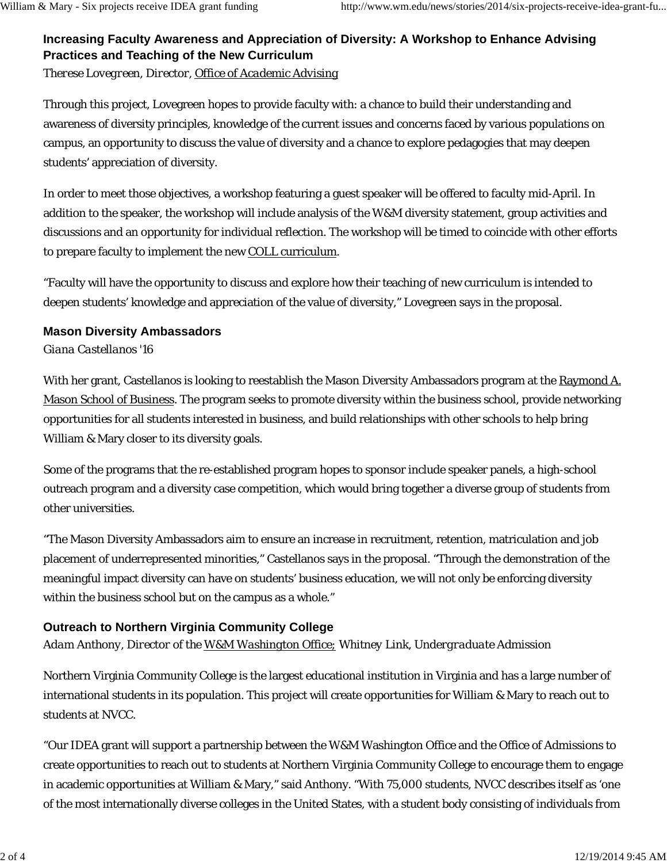## **Increasing Faculty Awareness and Appreciation of Diversity: A Workshop to Enhance Advising Practices and Teaching of the New Curriculum**

*Therese Lovegreen, Director, Office of Academic Advising*

Through this project, Lovegreen hopes to provide faculty with: a chance to build their understanding and awareness of diversity principles, knowledge of the current issues and concerns faced by various populations on campus, an opportunity to discuss the value of diversity and a chance to explore pedagogies that may deepen students' appreciation of diversity.

In order to meet those objectives, a workshop featuring a guest speaker will be offered to faculty mid-April. In addition to the speaker, the workshop will include analysis of the W&M diversity statement, group activities and discussions and an opportunity for individual reflection. The workshop will be timed to coincide with other efforts to prepare faculty to implement the new COLL curriculum.

"Faculty will have the opportunity to discuss and explore how their teaching of new curriculum is intended to deepen students' knowledge and appreciation of the value of diversity," Lovegreen says in the proposal.

#### **Mason Diversity Ambassadors**

*Giana Castellanos '16*

With her grant, Castellanos is looking to reestablish the Mason Diversity Ambassadors program at the Raymond A. Mason School of Business. The program seeks to promote diversity within the business school, provide networking opportunities for all students interested in business, and build relationships with other schools to help bring William & Mary closer to its diversity goals.

Some of the programs that the re-established program hopes to sponsor include speaker panels, a high-school outreach program and a diversity case competition, which would bring together a diverse group of students from other universities.

"The Mason Diversity Ambassadors aim to ensure an increase in recruitment, retention, matriculation and job placement of underrepresented minorities," Castellanos says in the proposal. "Through the demonstration of the meaningful impact diversity can have on students' business education, we will not only be enforcing diversity within the business school but on the campus as a whole."

#### **Outreach to Northern Virginia Community College**

*Adam Anthony, Director of the W&M Washington Office; Whitney Link, Undergraduate Admission*

Northern Virginia Community College is the largest educational institution in Virginia and has a large number of international students in its population. This project will create opportunities for William & Mary to reach out to students at NVCC.

"Our IDEA grant will support a partnership between the W&M Washington Office and the Office of Admissions to create opportunities to reach out to students at Northern Virginia Community College to encourage them to engage in academic opportunities at William & Mary," said Anthony. "With 75,000 students, NVCC describes itself as 'one of the most internationally diverse colleges in the United States, with a student body consisting of individuals from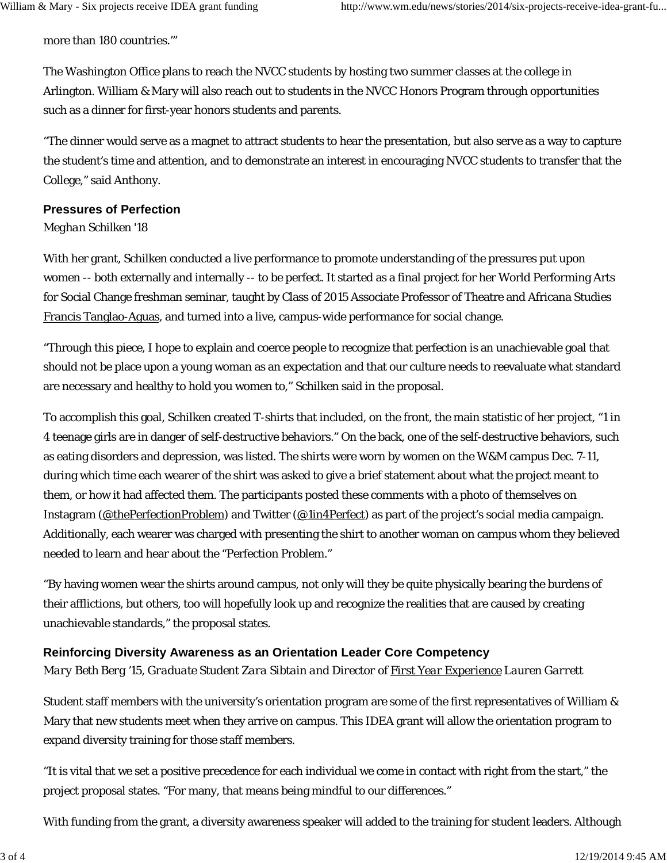more than 180 countries.'"

The Washington Office plans to reach the NVCC students by hosting two summer classes at the college in Arlington. William & Mary will also reach out to students in the NVCC Honors Program through opportunities such as a dinner for first-year honors students and parents.

"The dinner would serve as a magnet to attract students to hear the presentation, but also serve as a way to capture the student's time and attention, and to demonstrate an interest in encouraging NVCC students to transfer that the College," said Anthony.

#### **Pressures of Perfection**

#### *Meghan Schilken '18*

With her grant, Schilken conducted a live performance to promote understanding of the pressures put upon women -- both externally and internally -- to be perfect. It started as a final project for her World Performing Arts for Social Change freshman seminar, taught by Class of 2015 Associate Professor of Theatre and Africana Studies Francis Tanglao-Aguas, and turned into a live, campus-wide performance for social change.

"Through this piece, I hope to explain and coerce people to recognize that perfection is an unachievable goal that should not be place upon a young woman as an expectation and that our culture needs to reevaluate what standard are necessary and healthy to hold you women to," Schilken said in the proposal.

To accomplish this goal, Schilken created T-shirts that included, on the front, the main statistic of her project, "1 in 4 teenage girls are in danger of self-destructive behaviors." On the back, one of the self-destructive behaviors, such as eating disorders and depression, was listed. The shirts were worn by women on the W&M campus Dec. 7-11, during which time each wearer of the shirt was asked to give a brief statement about what the project meant to them, or how it had affected them. The participants posted these comments with a photo of themselves on Instagram (@thePerfectionProblem) and Twitter (@1in4Perfect) as part of the project's social media campaign. Additionally, each wearer was charged with presenting the shirt to another woman on campus whom they believed needed to learn and hear about the "Perfection Problem."

"By having women wear the shirts around campus, not only will they be quite physically bearing the burdens of their afflictions, but others, too will hopefully look up and recognize the realities that are caused by creating unachievable standards," the proposal states.

#### **Reinforcing Diversity Awareness as an Orientation Leader Core Competency**

*Mary Beth Berg '15, Graduate Student Zara Sibtain and Director of First Year Experience Lauren Garrett*

Student staff members with the university's orientation program are some of the first representatives of William & Mary that new students meet when they arrive on campus. This IDEA grant will allow the orientation program to expand diversity training for those staff members.

"It is vital that we set a positive precedence for each individual we come in contact with right from the start," the project proposal states. "For many, that means being mindful to our differences."

With funding from the grant, a diversity awareness speaker will added to the training for student leaders. Although